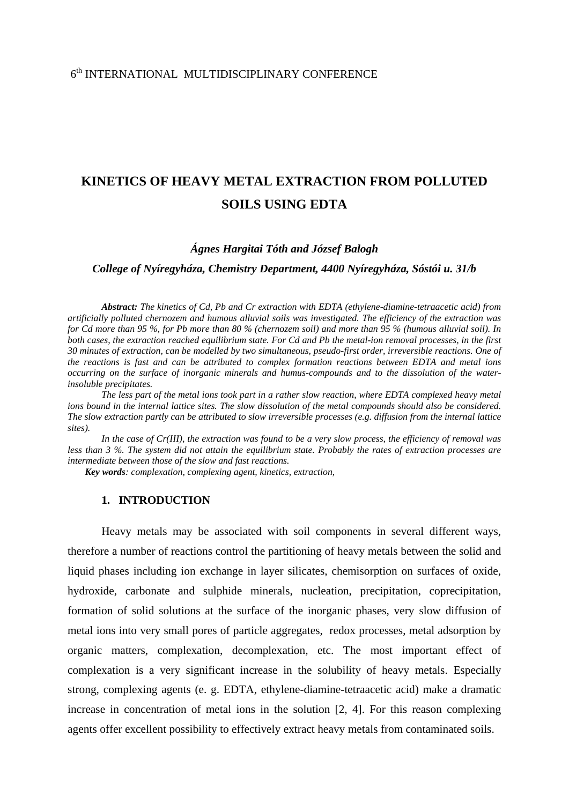# $6<sup>th</sup>$  INTERNATIONAL MULTIDISCIPLINARY CONFERENCE

# **KINETICS OF HEAVY METAL EXTRACTION FROM POLLUTED SOILS USING EDTA**

# *Ágnes Hargitai Tóth and József Balogh*

## *College of Nyíregyháza, Chemistry Department, 4400 Nyíregyháza, Sóstói u. 31/b*

*Abstract: The kinetics of Cd, Pb and Cr extraction with EDTA (ethylene-diamine-tetraacetic acid) from artificially polluted chernozem and humous alluvial soils was investigated. The efficiency of the extraction was for Cd more than 95 %, for Pb more than 80 % (chernozem soil) and more than 95 % (humous alluvial soil). In both cases, the extraction reached equilibrium state. For Cd and Pb the metal-ion removal processes, in the first 30 minutes of extraction, can be modelled by two simultaneous, pseudo-first order, irreversible reactions. One of the reactions is fast and can be attributed to complex formation reactions between EDTA and metal ions occurring on the surface of inorganic minerals and humus-compounds and to the dissolution of the waterinsoluble precipitates.* 

*The less part of the metal ions took part in a rather slow reaction, where EDTA complexed heavy metal ions bound in the internal lattice sites. The slow dissolution of the metal compounds should also be considered. The slow extraction partly can be attributed to slow irreversible processes (e.g. diffusion from the internal lattice sites).* 

*In the case of Cr(III), the extraction was found to be a very slow process, the efficiency of removal was less than 3 %. The system did not attain the equilibrium state. Probably the rates of extraction processes are intermediate between those of the slow and fast reactions.* 

*Key words: complexation, complexing agent, kinetics, extraction*,

#### **1. INTRODUCTION**

Heavy metals may be associated with soil components in several different ways, therefore a number of reactions control the partitioning of heavy metals between the solid and liquid phases including ion exchange in layer silicates, chemisorption on surfaces of oxide, hydroxide, carbonate and sulphide minerals, nucleation, precipitation, coprecipitation, formation of solid solutions at the surface of the inorganic phases, very slow diffusion of metal ions into very small pores of particle aggregates, redox processes, metal adsorption by organic matters, complexation, decomplexation, etc. The most important effect of complexation is a very significant increase in the solubility of heavy metals. Especially strong, complexing agents (e. g. EDTA, ethylene-diamine-tetraacetic acid) make a dramatic increase in concentration of metal ions in the solution [2, 4]. For this reason complexing agents offer excellent possibility to effectively extract heavy metals from contaminated soils.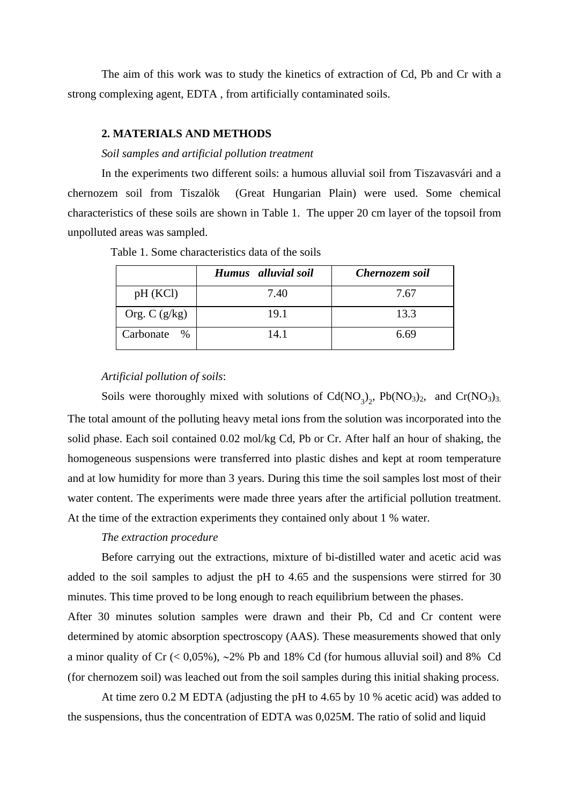The aim of this work was to study the kinetics of extraction of Cd, Pb and Cr with a strong complexing agent, EDTA , from artificially contaminated soils.

## **2. MATERIALS AND METHODS**

#### *Soil samples and artificial pollution treatment*

In the experiments two different soils: a humous alluvial soil from Tiszavasvári and a chernozem soil from Tiszalök (Great Hungarian Plain) were used. Some chemical characteristics of these soils are shown in Table 1. The upper 20 cm layer of the topsoil from unpolluted areas was sampled.

| Table 1. Some characteristics data of the soils |  |  |  |  |
|-------------------------------------------------|--|--|--|--|
|-------------------------------------------------|--|--|--|--|

|                   | Humus alluvial soil | Chernozem soil |  |  |
|-------------------|---------------------|----------------|--|--|
| pH(KCl)           | 7.40                | 7.67           |  |  |
| Org. C $(g/kg)$   | 19.1                | 13.3           |  |  |
| Carbonate<br>$\%$ | 14.1                | 6.69           |  |  |

#### *Artificial pollution of soils*:

Soils were thoroughly mixed with solutions of  $Cd(NO<sub>3</sub>)<sub>2</sub>$ ,  $Pb(NO<sub>3</sub>)<sub>2</sub>$ , and  $Cr(NO<sub>3</sub>)<sub>3</sub>$ . The total amount of the polluting heavy metal ions from the solution was incorporated into the solid phase. Each soil contained 0.02 mol/kg Cd, Pb or Cr. After half an hour of shaking, the homogeneous suspensions were transferred into plastic dishes and kept at room temperature and at low humidity for more than 3 years. During this time the soil samples lost most of their water content. The experiments were made three years after the artificial pollution treatment. At the time of the extraction experiments they contained only about 1 % water.

## *The extraction procedure*

Before carrying out the extractions, mixture of bi-distilled water and acetic acid was added to the soil samples to adjust the pH to 4.65 and the suspensions were stirred for 30 minutes. This time proved to be long enough to reach equilibrium between the phases.

After 30 minutes solution samples were drawn and their Pb, Cd and Cr content were determined by atomic absorption spectroscopy (AAS). These measurements showed that only a minor quality of Cr (< 0,05%), ∼2% Pb and 18% Cd (for humous alluvial soil) and 8% Cd (for chernozem soil) was leached out from the soil samples during this initial shaking process.

At time zero 0.2 M EDTA (adjusting the pH to 4.65 by 10 % acetic acid) was added to the suspensions, thus the concentration of EDTA was 0,025M. The ratio of solid and liquid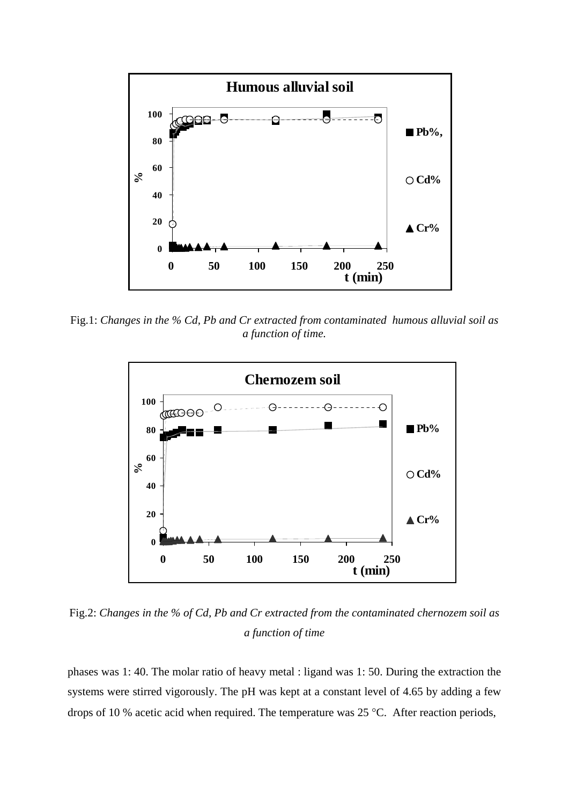

Fig.1: *Changes in the % Cd, Pb and Cr extracted from contaminated humous alluvial soil as a function of time.* 



Fig.2: *Changes in the % of Cd, Pb and Cr extracted from the contaminated chernozem soil as a function of time*

phases was 1: 40. The molar ratio of heavy metal : ligand was 1: 50. During the extraction the systems were stirred vigorously. The pH was kept at a constant level of 4.65 by adding a few drops of 10 % acetic acid when required. The temperature was 25 °C. After reaction periods,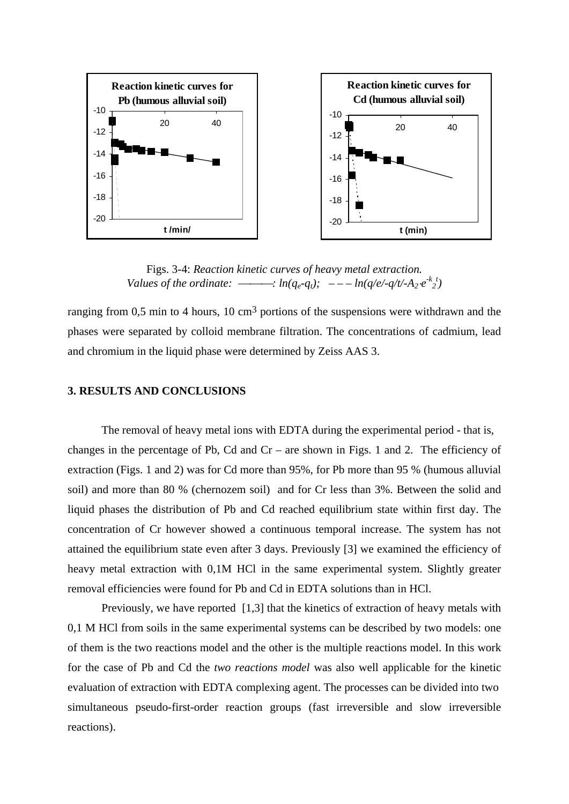

Figs. 3-4: *Reaction kinetic curves of heavy metal extraction. Values of the ordinate:*  $-\cdots$  *in(q<sub>e</sub>-q<sub>t</sub>);*  $- - -\ln(q/e/-q/t/-A_2 \cdot e^{-k}t)$ 

ranging from 0,5 min to 4 hours, 10 cm<sup>3</sup> portions of the suspensions were withdrawn and the phases were separated by colloid membrane filtration. The concentrations of cadmium, lead and chromium in the liquid phase were determined by Zeiss AAS 3.

#### **3. RESULTS AND CONCLUSIONS**

The removal of heavy metal ions with EDTA during the experimental period - that is, changes in the percentage of Pb, Cd and  $Cr$  – are shown in Figs. 1 and 2. The efficiency of extraction (Figs. 1 and 2) was for Cd more than 95%, for Pb more than 95 % (humous alluvial soil) and more than 80 % (chernozem soil) and for Cr less than 3%. Between the solid and liquid phases the distribution of Pb and Cd reached equilibrium state within first day. The concentration of Cr however showed a continuous temporal increase. The system has not attained the equilibrium state even after 3 days. Previously [3] we examined the efficiency of heavy metal extraction with 0,1M HCl in the same experimental system. Slightly greater removal efficiencies were found for Pb and Cd in EDTA solutions than in HCl.

Previously, we have reported [1,3] that the kinetics of extraction of heavy metals with 0,1 M HCl from soils in the same experimental systems can be described by two models: one of them is the two reactions model and the other is the multiple reactions model. In this work for the case of Pb and Cd the *two reactions model* was also well applicable for the kinetic evaluation of extraction with EDTA complexing agent. The processes can be divided into two simultaneous pseudo-first-order reaction groups (fast irreversible and slow irreversible reactions).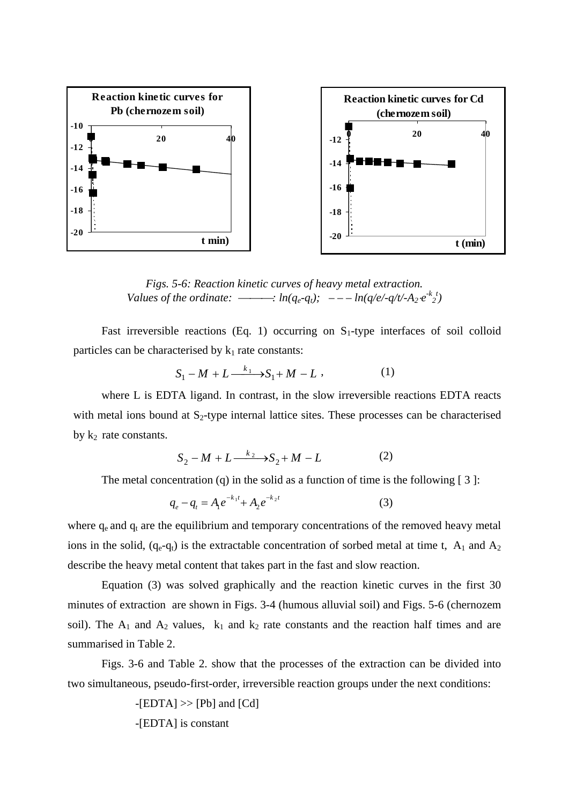

*Figs. 5-6: Reaction kinetic curves of heavy metal extraction. Values of the ordinate:*  $-\cdots$  *in(q<sub>e</sub>-q<sub>t</sub>);*  $- - -\ln(q/e/-q/t/-A_2 \cdot e^{-k}t)$ 

Fast irreversible reactions (Eq. 1) occurring on  $S_1$ -type interfaces of soil colloid particles can be characterised by  $k_1$  rate constants:

$$
S_1 - M + L \xrightarrow{k_1} S_1 + M - L \,, \tag{1}
$$

where L is EDTA ligand. In contrast, in the slow irreversible reactions EDTA reacts with metal ions bound at  $S_2$ -type internal lattice sites. These processes can be characterised by  $k_2$  rate constants.

$$
S_2 - M + L \xrightarrow{k_2} S_2 + M - L \tag{2}
$$

The metal concentration (q) in the solid as a function of time is the following  $[3]$ :

$$
q_e - q_t = A_1 e^{-k_1 t} + A_2 e^{-k_2 t} \tag{3}
$$

where  $q_e$  and  $q_t$  are the equilibrium and temporary concentrations of the removed heavy metal ions in the solid,  $(q_e-q_t)$  is the extractable concentration of sorbed metal at time t, A<sub>1</sub> and A<sub>2</sub> describe the heavy metal content that takes part in the fast and slow reaction.

 Equation (3) was solved graphically and the reaction kinetic curves in the first 30 minutes of extraction are shown in Figs. 3-4 (humous alluvial soil) and Figs. 5-6 (chernozem soil). The  $A_1$  and  $A_2$  values,  $k_1$  and  $k_2$  rate constants and the reaction half times and are summarised in Table 2.

Figs. 3-6 and Table 2. show that the processes of the extraction can be divided into two simultaneous, pseudo-first-order, irreversible reaction groups under the next conditions:

> $-[EDTA] \gg [Pb]$  and  $[Cd]$ -[EDTA] is constant